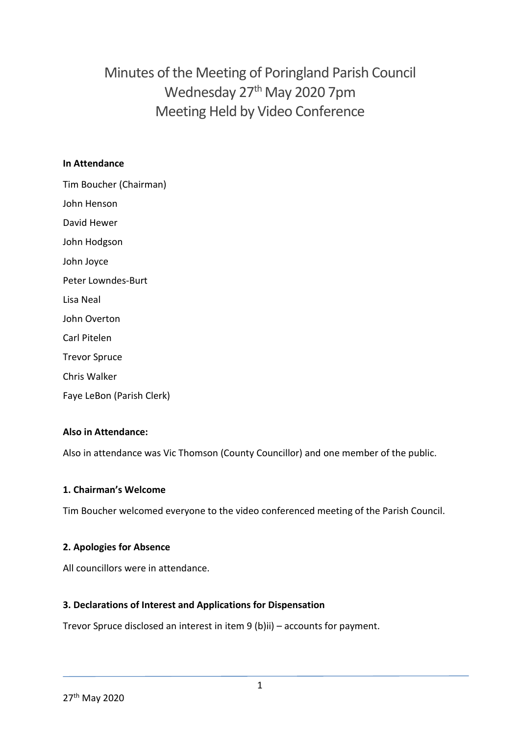# Minutes of the Meeting of Poringland Parish Council Wednesday 27<sup>th</sup> May 2020 7pm Meeting Held by Video Conference

#### **In Attendance**

Tim Boucher (Chairman) John Henson David Hewer John Hodgson John Joyce Peter Lowndes-Burt Lisa Neal John Overton Carl Pitelen Trevor Spruce Chris Walker Faye LeBon (Parish Clerk)

#### **Also in Attendance:**

Also in attendance was Vic Thomson (County Councillor) and one member of the public.

#### **1. Chairman's Welcome**

Tim Boucher welcomed everyone to the video conferenced meeting of the Parish Council.

#### **2. Apologies for Absence**

All councillors were in attendance.

#### **3. Declarations of Interest and Applications for Dispensation**

Trevor Spruce disclosed an interest in item 9 (b)ii) – accounts for payment.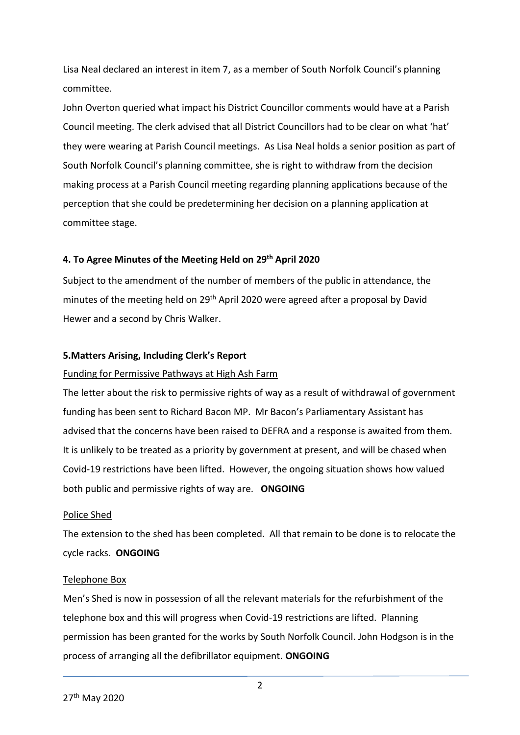Lisa Neal declared an interest in item 7, as a member of South Norfolk Council's planning committee.

John Overton queried what impact his District Councillor comments would have at a Parish Council meeting. The clerk advised that all District Councillors had to be clear on what 'hat' they were wearing at Parish Council meetings. As Lisa Neal holds a senior position as part of South Norfolk Council's planning committee, she is right to withdraw from the decision making process at a Parish Council meeting regarding planning applications because of the perception that she could be predetermining her decision on a planning application at committee stage.

### **4. To Agree Minutes of the Meeting Held on 29th April 2020**

Subject to the amendment of the number of members of the public in attendance, the minutes of the meeting held on 29<sup>th</sup> April 2020 were agreed after a proposal by David Hewer and a second by Chris Walker.

#### **5.Matters Arising, Including Clerk's Report**

#### Funding for Permissive Pathways at High Ash Farm

The letter about the risk to permissive rights of way as a result of withdrawal of government funding has been sent to Richard Bacon MP. Mr Bacon's Parliamentary Assistant has advised that the concerns have been raised to DEFRA and a response is awaited from them. It is unlikely to be treated as a priority by government at present, and will be chased when Covid-19 restrictions have been lifted. However, the ongoing situation shows how valued both public and permissive rights of way are. **ONGOING**

#### Police Shed

The extension to the shed has been completed. All that remain to be done is to relocate the cycle racks. **ONGOING**

#### Telephone Box

Men's Shed is now in possession of all the relevant materials for the refurbishment of the telephone box and this will progress when Covid-19 restrictions are lifted. Planning permission has been granted for the works by South Norfolk Council. John Hodgson is in the process of arranging all the defibrillator equipment. **ONGOING**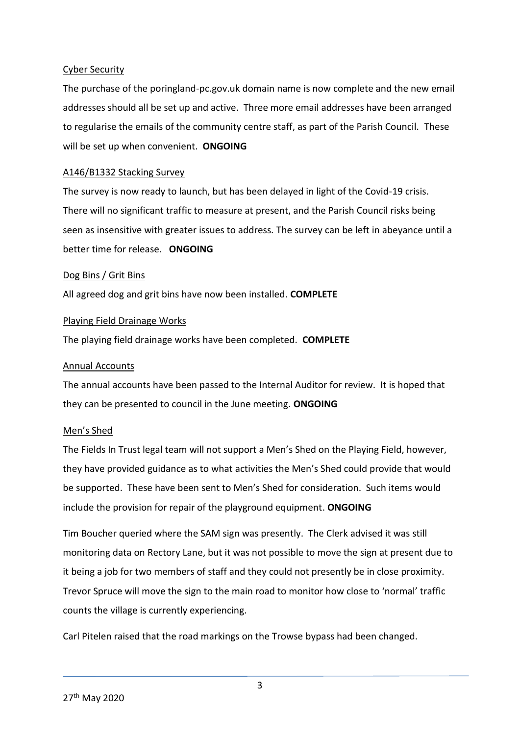#### Cyber Security

The purchase of the poringland-pc.gov.uk domain name is now complete and the new email addresses should all be set up and active. Three more email addresses have been arranged to regularise the emails of the community centre staff, as part of the Parish Council. These will be set up when convenient. **ONGOING**

#### A146/B1332 Stacking Survey

The survey is now ready to launch, but has been delayed in light of the Covid-19 crisis. There will no significant traffic to measure at present, and the Parish Council risks being seen as insensitive with greater issues to address. The survey can be left in abeyance until a better time for release. **ONGOING**

#### Dog Bins / Grit Bins

All agreed dog and grit bins have now been installed. **COMPLETE**

#### Playing Field Drainage Works

The playing field drainage works have been completed. **COMPLETE**

#### Annual Accounts

The annual accounts have been passed to the Internal Auditor for review. It is hoped that they can be presented to council in the June meeting. **ONGOING**

#### Men's Shed

The Fields In Trust legal team will not support a Men's Shed on the Playing Field, however, they have provided guidance as to what activities the Men's Shed could provide that would be supported. These have been sent to Men's Shed for consideration. Such items would include the provision for repair of the playground equipment. **ONGOING**

Tim Boucher queried where the SAM sign was presently. The Clerk advised it was still monitoring data on Rectory Lane, but it was not possible to move the sign at present due to it being a job for two members of staff and they could not presently be in close proximity. Trevor Spruce will move the sign to the main road to monitor how close to 'normal' traffic counts the village is currently experiencing.

Carl Pitelen raised that the road markings on the Trowse bypass had been changed.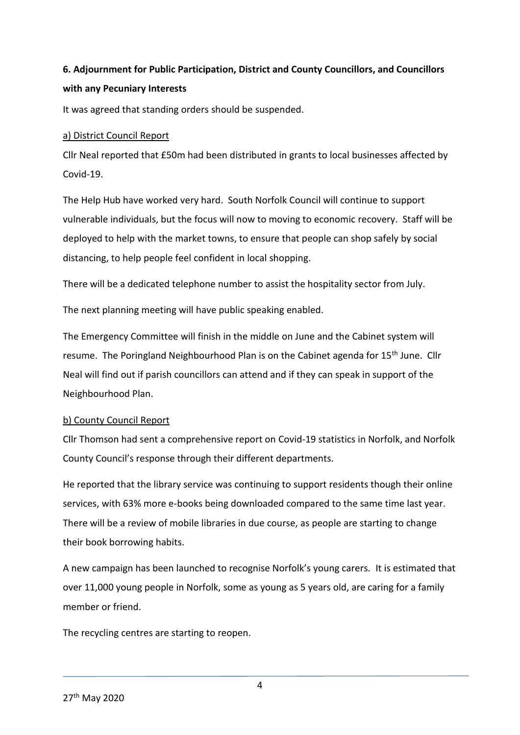# **6. Adjournment for Public Participation, District and County Councillors, and Councillors with any Pecuniary Interests**

It was agreed that standing orders should be suspended.

### a) District Council Report

Cllr Neal reported that £50m had been distributed in grants to local businesses affected by Covid-19.

The Help Hub have worked very hard. South Norfolk Council will continue to support vulnerable individuals, but the focus will now to moving to economic recovery. Staff will be deployed to help with the market towns, to ensure that people can shop safely by social distancing, to help people feel confident in local shopping.

There will be a dedicated telephone number to assist the hospitality sector from July.

The next planning meeting will have public speaking enabled.

The Emergency Committee will finish in the middle on June and the Cabinet system will resume. The Poringland Neighbourhood Plan is on the Cabinet agenda for 15<sup>th</sup> June. Cllr Neal will find out if parish councillors can attend and if they can speak in support of the Neighbourhood Plan.

# b) County Council Report

Cllr Thomson had sent a comprehensive report on Covid-19 statistics in Norfolk, and Norfolk County Council's response through their different departments.

He reported that the library service was continuing to support residents though their online services, with 63% more e-books being downloaded compared to the same time last year. There will be a review of mobile libraries in due course, as people are starting to change their book borrowing habits.

A new campaign has been launched to recognise Norfolk's young carers. It is estimated that over 11,000 young people in Norfolk, some as young as 5 years old, are caring for a family member or friend.

The recycling centres are starting to reopen.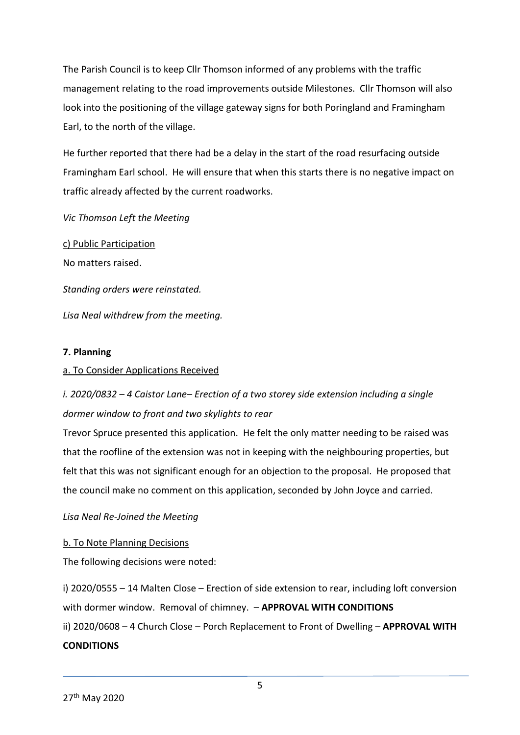The Parish Council is to keep Cllr Thomson informed of any problems with the traffic management relating to the road improvements outside Milestones. Cllr Thomson will also look into the positioning of the village gateway signs for both Poringland and Framingham Earl, to the north of the village.

He further reported that there had be a delay in the start of the road resurfacing outside Framingham Earl school. He will ensure that when this starts there is no negative impact on traffic already affected by the current roadworks.

*Vic Thomson Left the Meeting*

c) Public Participation No matters raised. *Standing orders were reinstated. Lisa Neal withdrew from the meeting.* 

#### **7. Planning**

#### a. To Consider Applications Received

# *i. 2020/0832 – 4 Caistor Lane– Erection of a two storey side extension including a single dormer window to front and two skylights to rear*

Trevor Spruce presented this application. He felt the only matter needing to be raised was that the roofline of the extension was not in keeping with the neighbouring properties, but felt that this was not significant enough for an objection to the proposal. He proposed that the council make no comment on this application, seconded by John Joyce and carried.

#### *Lisa Neal Re-Joined the Meeting*

#### b. To Note Planning Decisions

The following decisions were noted:

i) 2020/0555 – 14 Malten Close – Erection of side extension to rear, including loft conversion with dormer window. Removal of chimney. – **APPROVAL WITH CONDITIONS** ii) 2020/0608 – 4 Church Close – Porch Replacement to Front of Dwelling – **APPROVAL WITH CONDITIONS**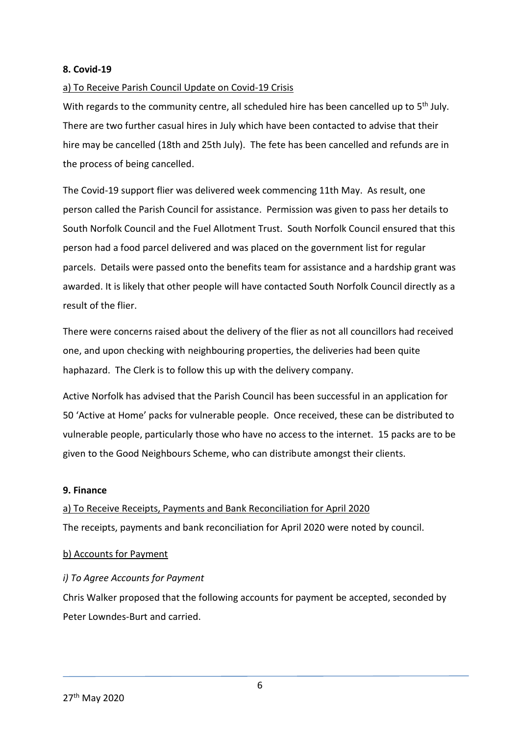#### **8. Covid-19**

#### a) To Receive Parish Council Update on Covid-19 Crisis

With regards to the community centre, all scheduled hire has been cancelled up to 5<sup>th</sup> July. There are two further casual hires in July which have been contacted to advise that their hire may be cancelled (18th and 25th July). The fete has been cancelled and refunds are in the process of being cancelled.

The Covid-19 support flier was delivered week commencing 11th May. As result, one person called the Parish Council for assistance. Permission was given to pass her details to South Norfolk Council and the Fuel Allotment Trust. South Norfolk Council ensured that this person had a food parcel delivered and was placed on the government list for regular parcels. Details were passed onto the benefits team for assistance and a hardship grant was awarded. It is likely that other people will have contacted South Norfolk Council directly as a result of the flier.

There were concerns raised about the delivery of the flier as not all councillors had received one, and upon checking with neighbouring properties, the deliveries had been quite haphazard. The Clerk is to follow this up with the delivery company.

Active Norfolk has advised that the Parish Council has been successful in an application for 50 'Active at Home' packs for vulnerable people. Once received, these can be distributed to vulnerable people, particularly those who have no access to the internet. 15 packs are to be given to the Good Neighbours Scheme, who can distribute amongst their clients.

#### **9. Finance**

# a) To Receive Receipts, Payments and Bank Reconciliation for April 2020 The receipts, payments and bank reconciliation for April 2020 were noted by council.

#### b) Accounts for Payment

#### *i) To Agree Accounts for Payment*

Chris Walker proposed that the following accounts for payment be accepted, seconded by Peter Lowndes-Burt and carried.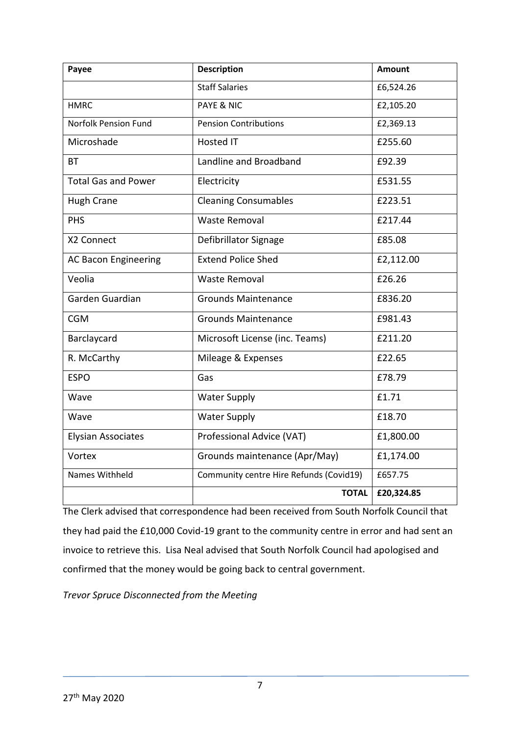| Payee                       | <b>Description</b>                      | <b>Amount</b> |
|-----------------------------|-----------------------------------------|---------------|
|                             | <b>Staff Salaries</b>                   | £6,524.26     |
| <b>HMRC</b>                 | <b>PAYE &amp; NIC</b>                   | £2,105.20     |
| <b>Norfolk Pension Fund</b> | <b>Pension Contributions</b>            | £2,369.13     |
| Microshade                  | <b>Hosted IT</b>                        | £255.60       |
| <b>BT</b>                   | Landline and Broadband                  | £92.39        |
| <b>Total Gas and Power</b>  | Electricity                             | £531.55       |
| <b>Hugh Crane</b>           | <b>Cleaning Consumables</b>             | £223.51       |
| PHS                         | <b>Waste Removal</b>                    | £217.44       |
| X2 Connect                  | Defibrillator Signage                   | £85.08        |
| <b>AC Bacon Engineering</b> | <b>Extend Police Shed</b>               | £2,112.00     |
| Veolia                      | <b>Waste Removal</b>                    | £26.26        |
| Garden Guardian             | <b>Grounds Maintenance</b>              | £836.20       |
| <b>CGM</b>                  | <b>Grounds Maintenance</b>              | £981.43       |
| Barclaycard                 | Microsoft License (inc. Teams)          | £211.20       |
| R. McCarthy                 | Mileage & Expenses                      | £22.65        |
| <b>ESPO</b>                 | Gas                                     | £78.79        |
| Wave                        | <b>Water Supply</b>                     | £1.71         |
| Wave                        | <b>Water Supply</b>                     | £18.70        |
| <b>Elysian Associates</b>   | Professional Advice (VAT)               | £1,800.00     |
| Vortex                      | Grounds maintenance (Apr/May)           | £1,174.00     |
| Names Withheld              | Community centre Hire Refunds (Covid19) | £657.75       |
|                             | <b>TOTAL</b>                            | £20,324.85    |

The Clerk advised that correspondence had been received from South Norfolk Council that they had paid the £10,000 Covid-19 grant to the community centre in error and had sent an invoice to retrieve this. Lisa Neal advised that South Norfolk Council had apologised and confirmed that the money would be going back to central government.

*Trevor Spruce Disconnected from the Meeting*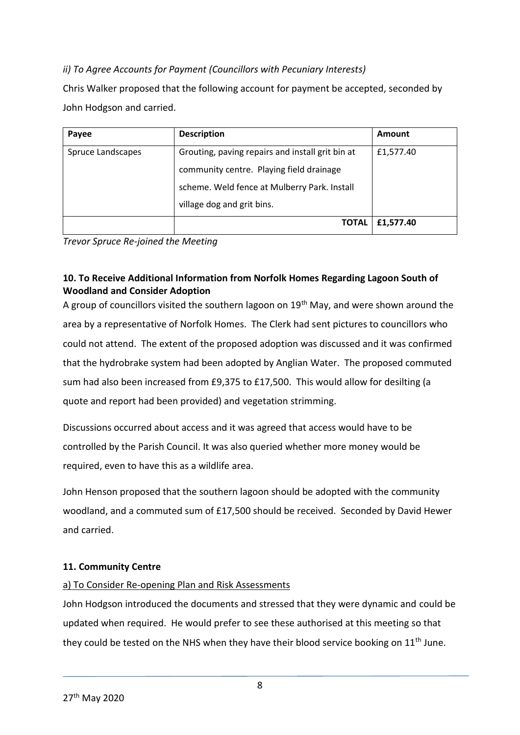# *ii) To Agree Accounts for Payment (Councillors with Pecuniary Interests)*

Chris Walker proposed that the following account for payment be accepted, seconded by John Hodgson and carried.

| Payee             | <b>Description</b>                               | Amount    |
|-------------------|--------------------------------------------------|-----------|
| Spruce Landscapes | Grouting, paving repairs and install grit bin at | £1,577.40 |
|                   | community centre. Playing field drainage         |           |
|                   | scheme. Weld fence at Mulberry Park. Install     |           |
|                   | village dog and grit bins.                       |           |
|                   | <b>TOTAL</b>                                     | £1,577.40 |

*Trevor Spruce Re-joined the Meeting*

# **10. To Receive Additional Information from Norfolk Homes Regarding Lagoon South of Woodland and Consider Adoption**

A group of councillors visited the southern lagoon on  $19<sup>th</sup>$  May, and were shown around the area by a representative of Norfolk Homes. The Clerk had sent pictures to councillors who could not attend. The extent of the proposed adoption was discussed and it was confirmed that the hydrobrake system had been adopted by Anglian Water. The proposed commuted sum had also been increased from £9,375 to £17,500. This would allow for desilting (a quote and report had been provided) and vegetation strimming.

Discussions occurred about access and it was agreed that access would have to be controlled by the Parish Council. It was also queried whether more money would be required, even to have this as a wildlife area.

John Henson proposed that the southern lagoon should be adopted with the community woodland, and a commuted sum of £17,500 should be received. Seconded by David Hewer and carried.

# **11. Community Centre**

# a) To Consider Re-opening Plan and Risk Assessments

John Hodgson introduced the documents and stressed that they were dynamic and could be updated when required. He would prefer to see these authorised at this meeting so that they could be tested on the NHS when they have their blood service booking on  $11<sup>th</sup>$  June.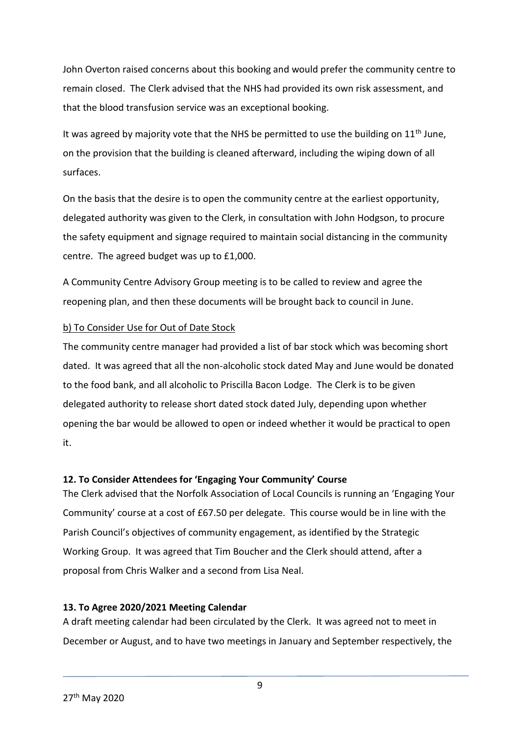John Overton raised concerns about this booking and would prefer the community centre to remain closed. The Clerk advised that the NHS had provided its own risk assessment, and that the blood transfusion service was an exceptional booking.

It was agreed by majority vote that the NHS be permitted to use the building on  $11<sup>th</sup>$  June, on the provision that the building is cleaned afterward, including the wiping down of all surfaces.

On the basis that the desire is to open the community centre at the earliest opportunity, delegated authority was given to the Clerk, in consultation with John Hodgson, to procure the safety equipment and signage required to maintain social distancing in the community centre. The agreed budget was up to £1,000.

A Community Centre Advisory Group meeting is to be called to review and agree the reopening plan, and then these documents will be brought back to council in June.

### b) To Consider Use for Out of Date Stock

The community centre manager had provided a list of bar stock which was becoming short dated. It was agreed that all the non-alcoholic stock dated May and June would be donated to the food bank, and all alcoholic to Priscilla Bacon Lodge. The Clerk is to be given delegated authority to release short dated stock dated July, depending upon whether opening the bar would be allowed to open or indeed whether it would be practical to open it.

# **12. To Consider Attendees for 'Engaging Your Community' Course**

The Clerk advised that the Norfolk Association of Local Councils is running an 'Engaging Your Community' course at a cost of £67.50 per delegate. This course would be in line with the Parish Council's objectives of community engagement, as identified by the Strategic Working Group. It was agreed that Tim Boucher and the Clerk should attend, after a proposal from Chris Walker and a second from Lisa Neal.

# **13. To Agree 2020/2021 Meeting Calendar**

A draft meeting calendar had been circulated by the Clerk. It was agreed not to meet in December or August, and to have two meetings in January and September respectively, the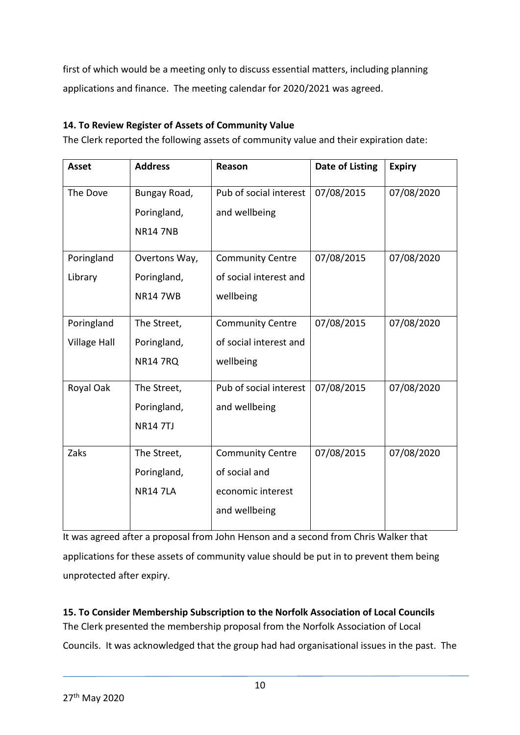first of which would be a meeting only to discuss essential matters, including planning applications and finance. The meeting calendar for 2020/2021 was agreed.

# **14. To Review Register of Assets of Community Value**

The Clerk reported the following assets of community value and their expiration date:

| <b>Asset</b>        | <b>Address</b>  | Reason                  | Date of Listing | <b>Expiry</b> |
|---------------------|-----------------|-------------------------|-----------------|---------------|
| The Dove            | Bungay Road,    | Pub of social interest  | 07/08/2015      | 07/08/2020    |
|                     | Poringland,     | and wellbeing           |                 |               |
|                     | <b>NR14 7NB</b> |                         |                 |               |
| Poringland          | Overtons Way,   | <b>Community Centre</b> | 07/08/2015      | 07/08/2020    |
| Library             | Poringland,     | of social interest and  |                 |               |
|                     | <b>NR147WB</b>  | wellbeing               |                 |               |
| Poringland          | The Street,     | <b>Community Centre</b> | 07/08/2015      | 07/08/2020    |
| <b>Village Hall</b> | Poringland,     | of social interest and  |                 |               |
|                     | <b>NR14 7RQ</b> | wellbeing               |                 |               |
| Royal Oak           | The Street,     | Pub of social interest  | 07/08/2015      | 07/08/2020    |
|                     | Poringland,     | and wellbeing           |                 |               |
|                     | <b>NR14 7TJ</b> |                         |                 |               |
| Zaks                | The Street,     | <b>Community Centre</b> | 07/08/2015      | 07/08/2020    |
|                     | Poringland,     | of social and           |                 |               |
|                     | <b>NR14 7LA</b> | economic interest       |                 |               |
|                     |                 | and wellbeing           |                 |               |

It was agreed after a proposal from John Henson and a second from Chris Walker that applications for these assets of community value should be put in to prevent them being unprotected after expiry.

**15. To Consider Membership Subscription to the Norfolk Association of Local Councils** The Clerk presented the membership proposal from the Norfolk Association of Local Councils. It was acknowledged that the group had had organisational issues in the past. The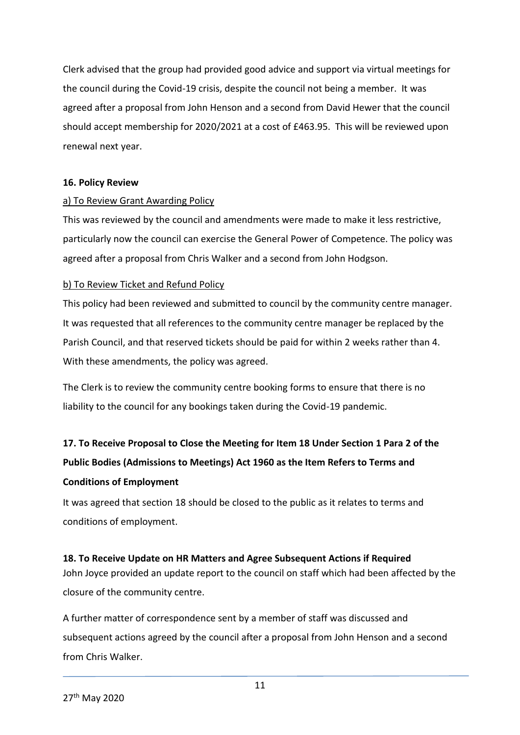Clerk advised that the group had provided good advice and support via virtual meetings for the council during the Covid-19 crisis, despite the council not being a member. It was agreed after a proposal from John Henson and a second from David Hewer that the council should accept membership for 2020/2021 at a cost of £463.95. This will be reviewed upon renewal next year.

#### **16. Policy Review**

#### a) To Review Grant Awarding Policy

This was reviewed by the council and amendments were made to make it less restrictive, particularly now the council can exercise the General Power of Competence. The policy was agreed after a proposal from Chris Walker and a second from John Hodgson.

#### b) To Review Ticket and Refund Policy

This policy had been reviewed and submitted to council by the community centre manager. It was requested that all references to the community centre manager be replaced by the Parish Council, and that reserved tickets should be paid for within 2 weeks rather than 4. With these amendments, the policy was agreed.

The Clerk is to review the community centre booking forms to ensure that there is no liability to the council for any bookings taken during the Covid-19 pandemic.

# **17. To Receive Proposal to Close the Meeting for Item 18 Under Section 1 Para 2 of the Public Bodies (Admissions to Meetings) Act 1960 as the Item Refers to Terms and Conditions of Employment**

It was agreed that section 18 should be closed to the public as it relates to terms and conditions of employment.

#### **18. To Receive Update on HR Matters and Agree Subsequent Actions if Required**

John Joyce provided an update report to the council on staff which had been affected by the closure of the community centre.

A further matter of correspondence sent by a member of staff was discussed and subsequent actions agreed by the council after a proposal from John Henson and a second from Chris Walker.